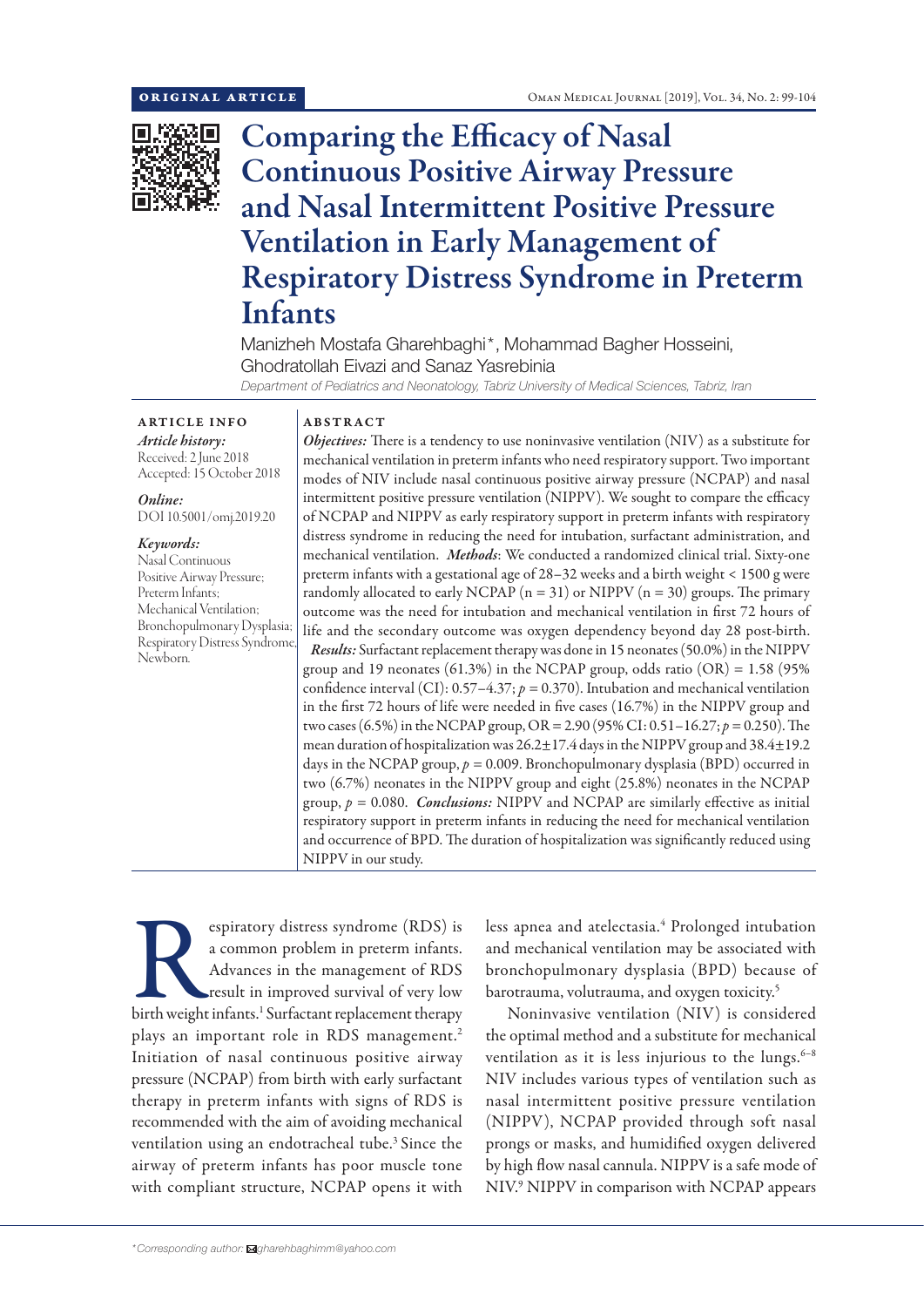

# Comparing the Efficacy of Nasal Continuous Positive Airway Pressure and Nasal Intermittent Positive Pressure Ventilation in Early Management of Respiratory Distress Syndrome in Preterm Infants

Manizheh Mostafa Gharehbaghi\*, Mohammad Bagher Hosseini, Ghodratollah Eivazi and Sanaz Yasrebinia *Department of Pediatrics and Neonatology, Tabriz University of Medical Sciences, Tabriz, Iran*

ARTICLE INFO *Article history:* Received: 2 June 2018

Accepted: 15 October 2018

*Online:* DOI 10.5001/omj.2019.20

*Keywords:*  Nasal Continuous Positive Airway Pressure; Preterm Infants; Mechanical Ventilation; Bronchopulmonary Dysplasia; Respiratory Distress Syndrome, Newborn.

# ABSTRACT

*Objectives:* There is a tendency to use noninvasive ventilation (NIV) as a substitute for mechanical ventilation in preterm infants who need respiratory support. Two important modes of NIV include nasal continuous positive airway pressure (NCPAP) and nasal intermittent positive pressure ventilation (NIPPV). We sought to compare the efficacy of NCPAP and NIPPV as early respiratory support in preterm infants with respiratory distress syndrome in reducing the need for intubation, surfactant administration, and mechanical ventilation. *Methods*: We conducted a randomized clinical trial. Sixty-one preterm infants with a gestational age of 28–32 weeks and a birth weight < 1500 g were randomly allocated to early NCPAP ( $n = 31$ ) or NIPPV ( $n = 30$ ) groups. The primary outcome was the need for intubation and mechanical ventilation in first 72 hours of life and the secondary outcome was oxygen dependency beyond day 28 post-birth. *Results:* Surfactant replacement therapy was done in 15 neonates (50.0%) in the NIPPV group and 19 neonates  $(61.3\%)$  in the NCPAP group, odds ratio  $(OR) = 1.58$  (95%) confidence interval (CI): 0.57–4.37; *p =* 0.370). Intubation and mechanical ventilation in the first 72 hours of life were needed in five cases (16.7%) in the NIPPV group and two cases (6.5%) in the NCPAP group, OR = 2.90 (95% CI: 0.51–16.27; *p =* 0.250). The mean duration of hospitalization was 26.2±17.4 days in the NIPPV group and 38.4±19.2 days in the NCPAP group, *p =* 0.009. Bronchopulmonary dysplasia (BPD) occurred in two (6.7%) neonates in the NIPPV group and eight (25.8%) neonates in the NCPAP group,  $p = 0.080$ . *Conclusions:* NIPPV and NCPAP are similarly effective as initial respiratory support in preterm infants in reducing the need for mechanical ventilation and occurrence of BPD. The duration of hospitalization was significantly reduced using NIPPV in our study.

espiratory distress syndrome (RDS) is<br>
a common problem in preterm infants.<br>
Advances in the management of RDS<br>
result in improved survival of very low<br>
birth weight infants.<sup>1</sup> Surfactant replacement therapy a common problem in preterm infants. Advances in the management of RDS result in improved survival of very low plays an important role in RDS management.<sup>2</sup> Initiation of nasal continuous positive airway pressure (NCPAP) from birth with early surfactant therapy in preterm infants with signs of RDS is recommended with the aim of avoiding mechanical ventilation using an endotracheal tube.<sup>3</sup> Since the airway of preterm infants has poor muscle tone with compliant structure, NCPAP opens it with

less apnea and atelectasia.<sup>4</sup> Prolonged intubation and mechanical ventilation may be associated with bronchopulmonary dysplasia (BPD) because of barotrauma, volutrauma, and oxygen toxicity.5

Noninvasive ventilation (NIV) is considered the optimal method and a substitute for mechanical ventilation as it is less injurious to the lungs. $6-8$ NIV includes various types of ventilation such as nasal intermittent positive pressure ventilation (NIPPV), NCPAP provided through soft nasal prongs or masks, and humidified oxygen delivered by high flow nasal cannula. NIPPV is a safe mode of NIV.9 NIPPV in comparison with NCPAP appears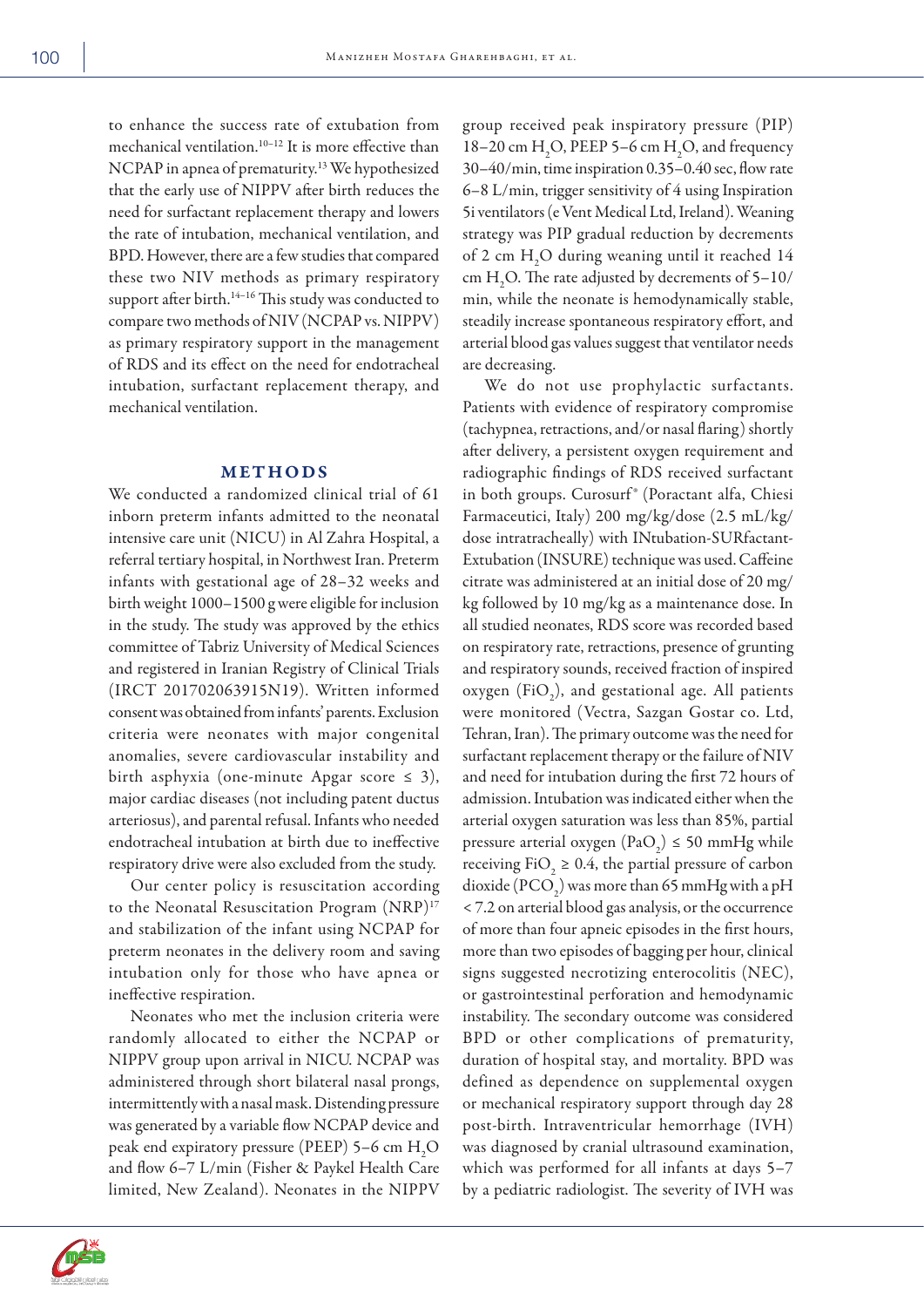to enhance the success rate of extubation from mechanical ventilation.10–12 It is more effective than NCPAP in apnea of prematurity.<sup>13</sup> We hypothesized that the early use of NIPPV after birth reduces the need for surfactant replacement therapy and lowers the rate of intubation, mechanical ventilation, and BPD. However, there are a few studies that compared these two NIV methods as primary respiratory support after birth.<sup>14-16</sup> This study was conducted to compare two methods of NIV (NCPAP vs. NIPPV) as primary respiratory support in the management of RDS and its effect on the need for endotracheal intubation, surfactant replacement therapy, and mechanical ventilation.

# METHODS

We conducted a randomized clinical trial of 61 inborn preterm infants admitted to the neonatal intensive care unit (NICU) in Al Zahra Hospital, a referral tertiary hospital, in Northwest Iran. Preterm infants with gestational age of 28–32 weeks and birth weight 1000–1500 g were eligible for inclusion in the study. The study was approved by the ethics committee of Tabriz University of Medical Sciences and registered in Iranian Registry of Clinical Trials (IRCT 201702063915N19). Written informed consent was obtained from infants' parents. Exclusion criteria were neonates with major congenital anomalies, severe cardiovascular instability and birth asphyxia (one-minute Apgar score  $\leq$  3), major cardiac diseases (not including patent ductus arteriosus), and parental refusal. Infants who needed endotracheal intubation at birth due to ineffective respiratory drive were also excluded from the study.

Our center policy is resuscitation according to the Neonatal Resuscitation Program (NRP)<sup>17</sup> and stabilization of the infant using NCPAP for preterm neonates in the delivery room and saving intubation only for those who have apnea or ineffective respiration.

Neonates who met the inclusion criteria were randomly allocated to either the NCPAP or NIPPV group upon arrival in NICU. NCPAP was administered through short bilateral nasal prongs, intermittently with a nasal mask. Distending pressure was generated by a variable flow NCPAP device and peak end expiratory pressure (PEEP) 5–6 cm  $H_2O$ and flow 6–7 L/min (Fisher & Paykel Health Care limited, New Zealand). Neonates in the NIPPV

group received peak inspiratory pressure (PIP) 18–20 cm  $H_2O$ , PEEP 5–6 cm  $H_2O$ , and frequency 30–40/min, time inspiration 0.35–0.40 sec, flow rate 6–8 L/min, trigger sensitivity of 4 using Inspiration 5i ventilators (e Vent Medical Ltd, Ireland). Weaning strategy was PIP gradual reduction by decrements of 2 cm  $H_2O$  during weaning until it reached 14 cm  $H_2O$ . The rate adjusted by decrements of 5–10/ min, while the neonate is hemodynamically stable, steadily increase spontaneous respiratory effort, and arterial blood gas values suggest that ventilator needs are decreasing.

We do not use prophylactic surfactants. Patients with evidence of respiratory compromise (tachypnea, retractions, and/or nasal flaring) shortly after delivery, a persistent oxygen requirement and radiographic findings of RDS received surfactant in both groups. Curosurf® (Poractant alfa, Chiesi Farmaceutici, Italy) 200 mg/kg/dose (2.5 mL/kg/ dose intratracheally) with INtubation-SURfactant-Extubation (INSURE) technique was used. Caffeine citrate was administered at an initial dose of 20 mg/ kg followed by 10 mg/kg as a maintenance dose. In all studied neonates, RDS score was recorded based on respiratory rate, retractions, presence of grunting and respiratory sounds, received fraction of inspired oxygen (FiO<sub>2</sub>), and gestational age. All patients were monitored (Vectra, Sazgan Gostar co. Ltd, Tehran, Iran). The primary outcome was the need for surfactant replacement therapy or the failure of NIV and need for intubation during the first 72 hours of admission. Intubation was indicated either when the arterial oxygen saturation was less than 85%, partial pressure arterial oxygen  $(\text{PaO}_2) \le 50 \text{ mmHg}$  while receiving FiO<sub>2</sub>  $\geq$  0.4, the partial pressure of carbon dioxide (PCO<sub>2</sub>) was more than 65 mmHg with a pH < 7.2 on arterial blood gas analysis, or the occurrence of more than four apneic episodes in the first hours, more than two episodes of bagging per hour, clinical signs suggested necrotizing enterocolitis (NEC), or gastrointestinal perforation and hemodynamic instability. The secondary outcome was considered BPD or other complications of prematurity, duration of hospital stay, and mortality. BPD was defined as dependence on supplemental oxygen or mechanical respiratory support through day 28 post-birth. Intraventricular hemorrhage (IVH) was diagnosed by cranial ultrasound examination, which was performed for all infants at days 5–7 by a pediatric radiologist. The severity of IVH was

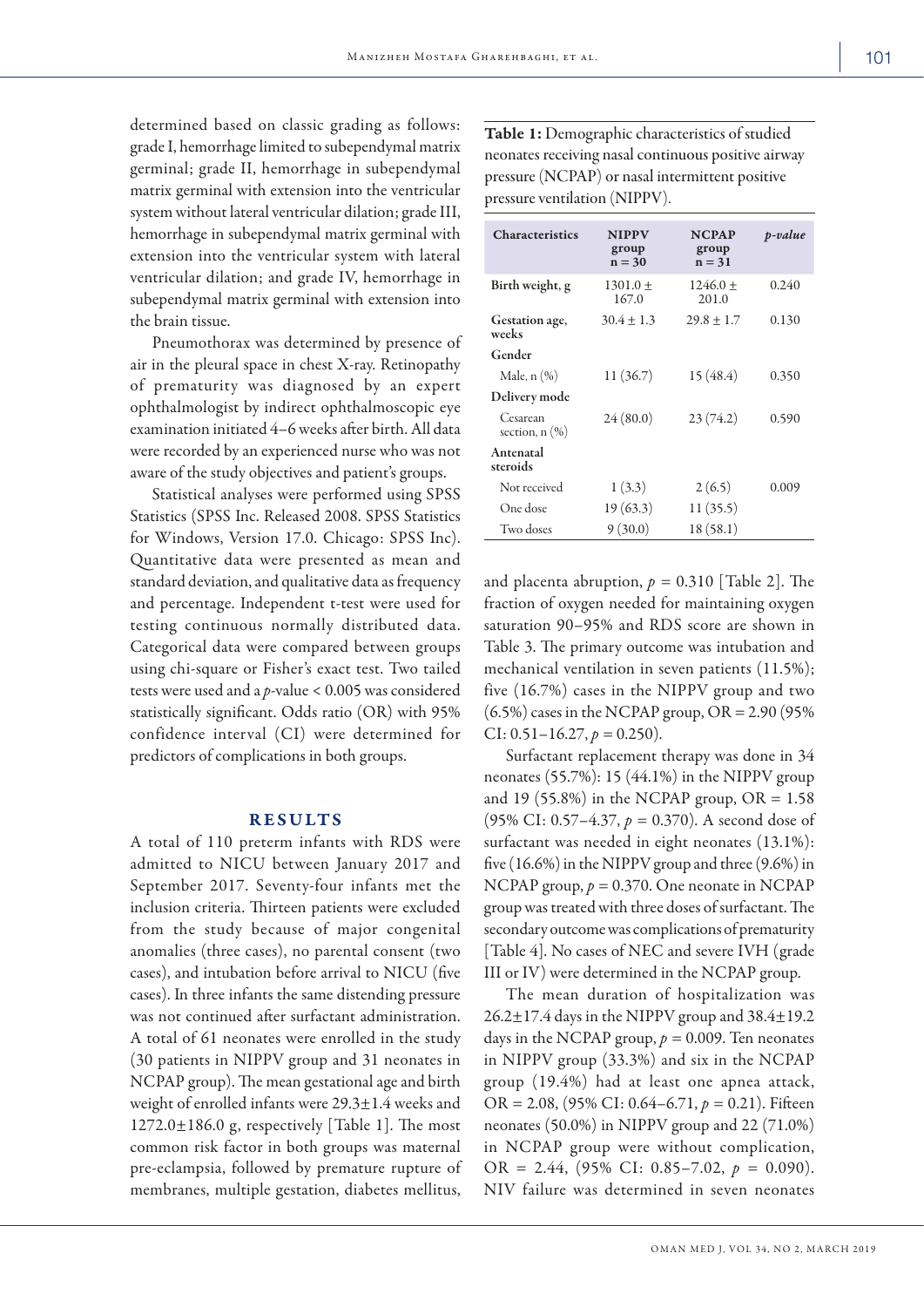determined based on classic grading as follows: grade I, hemorrhage limited to subependymal matrix germinal; grade II, hemorrhage in subependymal matrix germinal with extension into the ventricular system without lateral ventricular dilation; grade III, hemorrhage in subependymal matrix germinal with extension into the ventricular system with lateral ventricular dilation; and grade IV, hemorrhage in subependymal matrix germinal with extension into the brain tissue.

Pneumothorax was determined by presence of air in the pleural space in chest X-ray. Retinopathy of prematurity was diagnosed by an expert ophthalmologist by indirect ophthalmoscopic eye examination initiated 4–6 weeks after birth. All data were recorded by an experienced nurse who was not aware of the study objectives and patient's groups.

Statistical analyses were performed using SPSS Statistics (SPSS Inc. Released 2008. SPSS Statistics for Windows, Version 17.0. Chicago: SPSS Inc). Quantitative data were presented as mean and standard deviation, and qualitative data as frequency and percentage. Independent t-test were used for testing continuous normally distributed data. Categorical data were compared between groups using chi-square or Fisher's exact test. Two tailed tests were used and a *p*-value < 0.005 was considered statistically significant. Odds ratio (OR) with 95% confidence interval (CI) were determined for predictors of complications in both groups.

## RESULTS

A total of 110 preterm infants with RDS were admitted to NICU between January 2017 and September 2017. Seventy-four infants met the inclusion criteria. Thirteen patients were excluded from the study because of major congenital anomalies (three cases), no parental consent (two cases), and intubation before arrival to NICU (five cases). In three infants the same distending pressure was not continued after surfactant administration. A total of 61 neonates were enrolled in the study (30 patients in NIPPV group and 31 neonates in NCPAP group). The mean gestational age and birth weight of enrolled infants were 29.3±1.4 weeks and  $1272.0\pm186.0$  g, respectively [Table 1]. The most common risk factor in both groups was maternal pre-eclampsia, followed by premature rupture of membranes, multiple gestation, diabetes mellitus,

Table 1: Demographic characteristics of studied neonates receiving nasal continuous positive airway pressure (NCPAP) or nasal intermittent positive pressure ventilation (NIPPV).

| <b>Characteristics</b>          | <b>NIPPV</b><br>group<br>$n = 30$ | <b>NCPAP</b><br>group<br>$n = 31$ | p-value |
|---------------------------------|-----------------------------------|-----------------------------------|---------|
| Birth weight, g                 | $1301.0 +$<br>167.0               | $1246.0 +$<br>201.0               | 0.240   |
| Gestation age,<br>weeks         | $30.4 \pm 1.3$                    | $29.8 \pm 1.7$                    | 0.130   |
| Gender                          |                                   |                                   |         |
| Male, $n$ $(\%)$                | 11 (36.7)                         | 15 (48.4)                         | 0.350   |
| Delivery mode                   |                                   |                                   |         |
| Cesarean<br>section, $n$ $(\%)$ | 24(80.0)                          | 23(74.2)                          | 0.590   |
| Antenatal<br>steroids           |                                   |                                   |         |
| Not received                    | 1(3.3)                            | 2(6.5)                            | 0.009   |
| One dose                        | 19(63.3)                          | 11(35.5)                          |         |
| Two doses                       | 9(30.0)                           | 18(58.1)                          |         |

and placenta abruption,  $p = 0.310$  [Table 2]. The fraction of oxygen needed for maintaining oxygen saturation 90–95% and RDS score are shown in Table 3. The primary outcome was intubation and mechanical ventilation in seven patients (11.5%); five (16.7%) cases in the NIPPV group and two  $(6.5\%)$  cases in the NCPAP group, OR = 2.90 (95%) CI:  $0.51 - 16.27$ ,  $p = 0.250$ ).

Surfactant replacement therapy was done in 34 neonates (55.7%): 15 (44.1%) in the NIPPV group and 19 (55.8%) in the NCPAP group,  $OR = 1.58$ (95% CI: 0.57–4.37, *p =* 0.370). A second dose of surfactant was needed in eight neonates (13.1%): five (16.6%) in the NIPPV group and three (9.6%) in NCPAP group, *p =* 0.370. One neonate in NCPAP group was treated with three doses of surfactant. The secondary outcome was complications of prematurity [Table 4]. No cases of NEC and severe IVH (grade III or IV) were determined in the NCPAP group.

The mean duration of hospitalization was 26.2±17.4 days in the NIPPV group and 38.4±19.2 days in the NCPAP group,  $p = 0.009$ . Ten neonates in NIPPV group (33.3%) and six in the NCPAP group (19.4%) had at least one apnea attack, OR = 2.08, (95% CI: 0.64–6.71, *p =* 0.21). Fifteen neonates (50.0%) in NIPPV group and 22 (71.0%) in NCPAP group were without complication, OR = 2.44, (95% CI: 0.85–7.02, *p =* 0.090). NIV failure was determined in seven neonates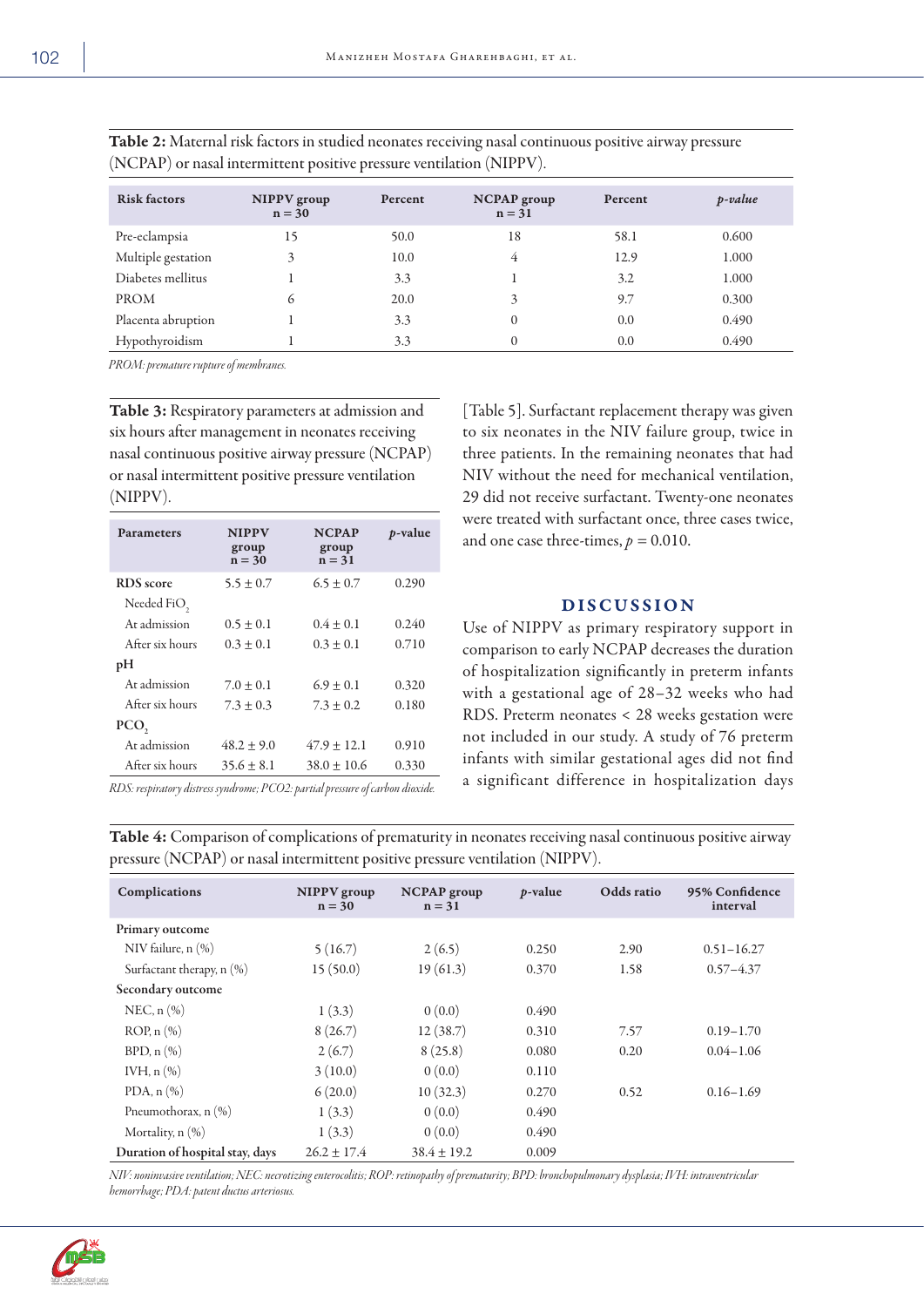| ٠<br><br>I<br>u,<br>۰. |  |
|------------------------|--|
|                        |  |

| <b>Risk factors</b> | NIPPV group<br>$n = 30$ | Percent | <b>NCPAP</b> group<br>$n = 31$ | Percent | p-value |
|---------------------|-------------------------|---------|--------------------------------|---------|---------|
| Pre-eclampsia       | 15                      | 50.0    | 18                             | 58.1    | 0.600   |
| Multiple gestation  | 3                       | 10.0    | 4                              | 12.9    | 1.000   |
| Diabetes mellitus   |                         | 3.3     |                                | 3.2     | 1.000   |
| <b>PROM</b>         | 6                       | 20.0    | 3                              | 9.7     | 0.300   |
| Placenta abruption  |                         | 3.3     | $\theta$                       | 0.0     | 0.490   |
| Hypothyroidism      |                         | 3.3     | $\theta$                       | 0.0     | 0.490   |

Table 2: Maternal risk factors in studied neonates receiving nasal continuous positive airway pressure (NCPAP) or nasal intermittent positive pressure ventilation (NIPPV).

*PROM: premature rupture of membranes.* 

Table 3: Respiratory parameters at admission and six hours after management in neonates receiving nasal continuous positive airway pressure (NCPAP) or nasal intermittent positive pressure ventilation (NIPPV).

| <b>Parameters</b> | <b>NIPPV</b><br>group<br>$n = 30$ | <b>NCPAP</b><br>group<br>$n = 31$ | <i>p</i> -value |
|-------------------|-----------------------------------|-----------------------------------|-----------------|
| <b>RDS</b> score  | $5.5 \pm 0.7$                     | $6.5 \pm 0.7$                     | 0.290           |
| Needed FiO,       |                                   |                                   |                 |
| Ar admission      | $0.5 \pm 0.1$                     | $0.4 \pm 0.1$                     | 0.240           |
| After six hours   | $0.3 \pm 0.1$                     | $0.3 \pm 0.1$                     | 0.710           |
| pH                |                                   |                                   |                 |
| Ar admission      | $7.0 + 0.1$                       | $6.9 \pm 0.1$                     | 0.320           |
| After six hours   | $7.3 \pm 0.3$                     | $7.3 \pm 0.2$                     | 0.180           |
| PCO,              |                                   |                                   |                 |
| At admission      | $48.2 \pm 9.0$                    | $47.9 \pm 12.1$                   | 0.910           |
| After six hours   | $35.6 \pm 8.1$                    | $38.0 \pm 10.6$                   | 0.330           |

three patients. In the remaining neonates that had NIV without the need for mechanical ventilation, 29 did not receive surfactant. Twenty-one neonates were treated with surfactant once, three cases twice, and one case three-times,  $p = 0.010$ .

[Table 5]. Surfactant replacement therapy was given to six neonates in the NIV failure group, twice in

# DISCUSSION

Use of NIPPV as primary respiratory support in comparison to early NCPAP decreases the duration of hospitalization significantly in preterm infants with a gestational age of 28–32 weeks who had RDS. Preterm neonates < 28 weeks gestation were not included in our study. A study of 76 preterm infants with similar gestational ages did not find a significant difference in hospitalization days

*RDS: respiratory distress syndrome; PCO2: partial pressure of carbon dioxide.*

Table 4: Comparison of complications of prematurity in neonates receiving nasal continuous positive airway pressure (NCPAP) or nasal intermittent positive pressure ventilation (NIPPV).

| Complications                   | NIPPV group<br>$n = 30$ | <b>NCPAP</b> group<br>$n = 31$ | <i>p</i> -value | Odds ratio | 95% Confidence<br>interval |
|---------------------------------|-------------------------|--------------------------------|-----------------|------------|----------------------------|
| Primary outcome                 |                         |                                |                 |            |                            |
| NIV failure, $n$ $(\%)$         | 5(16.7)                 | 2(6.5)                         | 0.250           | 2.90       | $0.51 - 16.27$             |
| Surfactant therapy, $n$ $(\%)$  | 15(50.0)                | 19(61.3)                       | 0.370           | 1.58       | $0.57 - 4.37$              |
| Secondary outcome               |                         |                                |                 |            |                            |
| NEC, $n$ $(\% )$                | 1(3.3)                  | 0(0.0)                         | 0.490           |            |                            |
| $ROP$ , $n$ $(\% )$             | 8(26.7)                 | 12(38.7)                       | 0.310           | 7.57       | $0.19 - 1.70$              |
| $BPD, n(\%)$                    | 2(6.7)                  | 8(25.8)                        | 0.080           | 0.20       | $0.04 - 1.06$              |
| IVH, $n$ $(\%)$                 | 3(10.0)                 | 0(0.0)                         | 0.110           |            |                            |
| PDA, $n$ $(\% )$                | 6(20.0)                 | 10(32.3)                       | 0.270           | 0.52       | $0.16 - 1.69$              |
| Pneumothorax, $n$ $(\%)$        | 1(3.3)                  | 0(0.0)                         | 0.490           |            |                            |
| Mortality, $n$ $(\%)$           | 1(3.3)                  | 0(0.0)                         | 0.490           |            |                            |
| Duration of hospital stay, days | $26.2 \pm 17.4$         | $38.4 \pm 19.2$                | 0.009           |            |                            |

*NIV: noninvasive ventilation; NEC: necrotizing enterocolitis; ROP: retinopathy of prematurity; BPD: bronchopulmonary dysplasia; IVH: intraventricular hemorrhage; PDA: patent ductus arteriosus.*

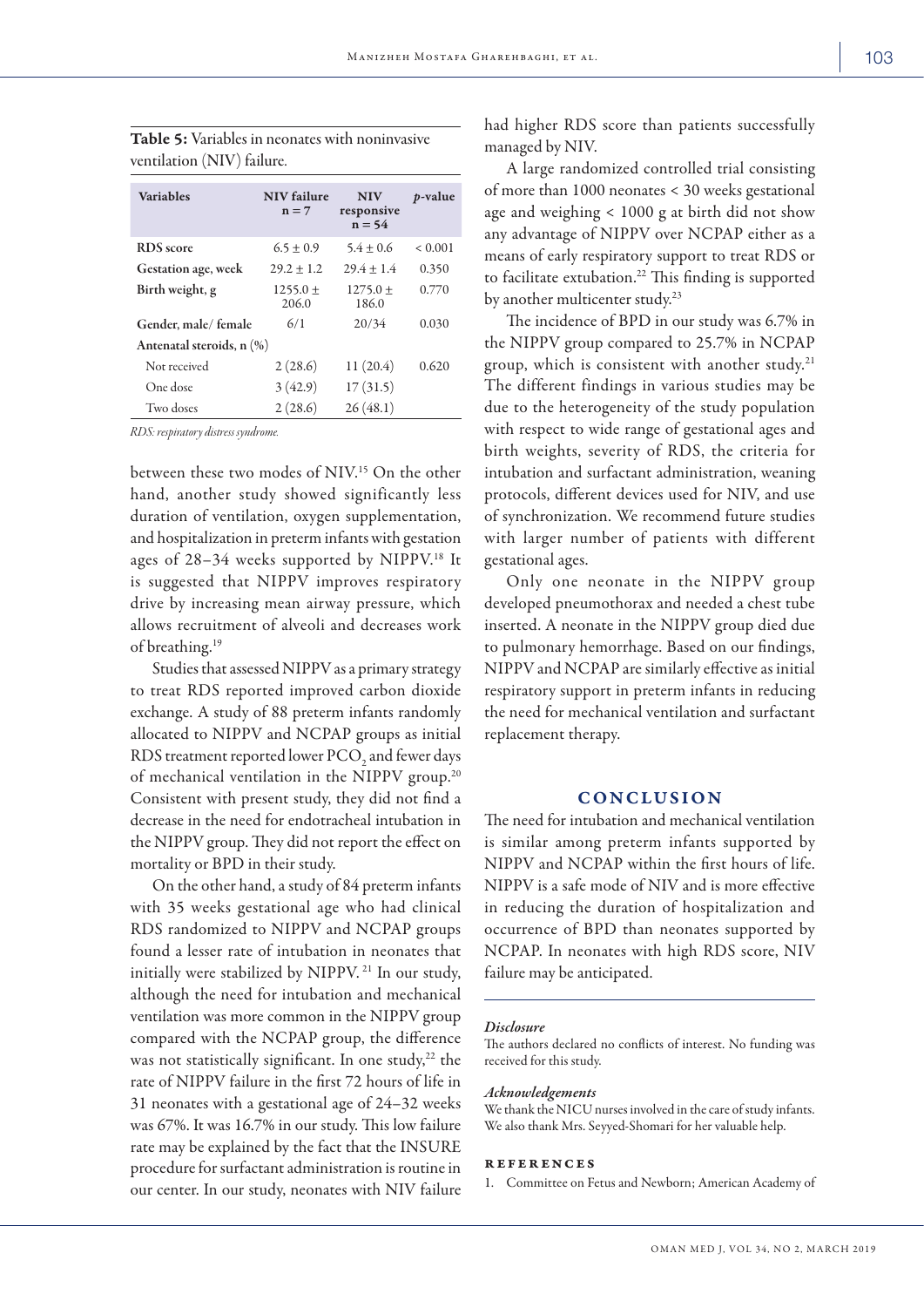| <b>Variables</b>                                | <b>NIV</b> failure<br>$n = 7$ | <b>NIV</b><br>responsive<br>$n = 54$ | <i>p</i> -value |  |  |
|-------------------------------------------------|-------------------------------|--------------------------------------|-----------------|--|--|
| <b>RDS</b> score                                | $6.5 \pm 0.9$                 | $5.4 \pm 0.6$                        | ${}_{0.001}$    |  |  |
| Gestation age, week                             | $29.2 + 1.2$                  | $29.4 \pm 1.4$                       | 0.350           |  |  |
| Birth weight, g                                 | $1255.0 \pm$<br>206.0         | $1275.0 +$<br>186.0                  | 0.770           |  |  |
| Gender, male/female                             | 6/1                           | 20/34                                | 0.030           |  |  |
| Antenatal steroids, $n\left(\frac{9}{6}\right)$ |                               |                                      |                 |  |  |
| Not received                                    | 2(28.6)                       | 11(20.4)                             | 0.620           |  |  |
| One dose                                        | 3(42.9)                       | 17(31.5)                             |                 |  |  |
| Two doses                                       | 2(28.6)                       | 26(48.1)                             |                 |  |  |

Table 5: Variables in neonates with noninvasive ventilation (NIV) failure.

*RDS: respiratory distress syndrome.*

between these two modes of NIV.15 On the other hand, another study showed significantly less duration of ventilation, oxygen supplementation, and hospitalization in preterm infants with gestation ages of 28-34 weeks supported by NIPPV.<sup>18</sup> It is suggested that NIPPV improves respiratory drive by increasing mean airway pressure, which allows recruitment of alveoli and decreases work of breathing.19

Studies that assessed NIPPV as a primary strategy to treat RDS reported improved carbon dioxide exchange. A study of 88 preterm infants randomly allocated to NIPPV and NCPAP groups as initial RDS treatment reported lower PCO<sub>2</sub> and fewer days of mechanical ventilation in the NIPPV group.<sup>20</sup> Consistent with present study, they did not find a decrease in the need for endotracheal intubation in the NIPPV group. They did not report the effect on mortality or BPD in their study.

On the other hand, a study of 84 preterm infants with 35 weeks gestational age who had clinical RDS randomized to NIPPV and NCPAP groups found a lesser rate of intubation in neonates that initially were stabilized by NIPPV. 21 In our study, although the need for intubation and mechanical ventilation was more common in the NIPPV group compared with the NCPAP group, the difference was not statistically significant. In one study, $22$  the rate of NIPPV failure in the first 72 hours of life in 31 neonates with a gestational age of 24–32 weeks was 67%. It was 16.7% in our study. This low failure rate may be explained by the fact that the INSURE procedure for surfactant administration is routine in our center. In our study, neonates with NIV failure had higher RDS score than patients successfully managed by NIV.

A large randomized controlled trial consisting of more than 1000 neonates < 30 weeks gestational age and weighing < 1000 g at birth did not show any advantage of NIPPV over NCPAP either as a means of early respiratory support to treat RDS or to facilitate extubation.<sup>22</sup> This finding is supported by another multicenter study.<sup>23</sup>

The incidence of BPD in our study was 6.7% in the NIPPV group compared to 25.7% in NCPAP group, which is consistent with another study.<sup>21</sup> The different findings in various studies may be due to the heterogeneity of the study population with respect to wide range of gestational ages and birth weights, severity of RDS, the criteria for intubation and surfactant administration, weaning protocols, different devices used for NIV, and use of synchronization. We recommend future studies with larger number of patients with different gestational ages.

Only one neonate in the NIPPV group developed pneumothorax and needed a chest tube inserted. A neonate in the NIPPV group died due to pulmonary hemorrhage. Based on our findings, NIPPV and NCPAP are similarly effective as initial respiratory support in preterm infants in reducing the need for mechanical ventilation and surfactant replacement therapy.

# **CONCLUSION**

The need for intubation and mechanical ventilation is similar among preterm infants supported by NIPPV and NCPAP within the first hours of life. NIPPV is a safe mode of NIV and is more effective in reducing the duration of hospitalization and occurrence of BPD than neonates supported by NCPAP. In neonates with high RDS score, NIV failure may be anticipated.

#### *Disclosure*

The authors declared no conflicts of interest. No funding was received for this study.

### *Acknowledgements*

We thank the NICU nurses involved in the care of study infants. We also thank Mrs. Seyyed-Shomari for her valuable help.

# references

1. Committee on Fetus and Newborn; American Academy of